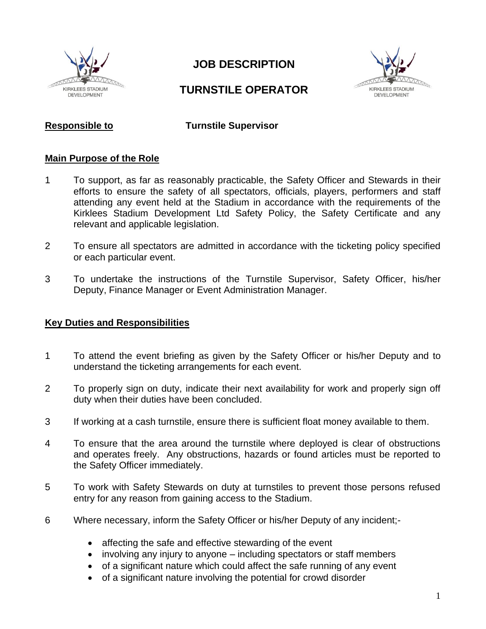

# **JOB DESCRIPTION**

## **TURNSTILE OPERATOR**



**Responsible to Turnstile Supervisor**

#### **Main Purpose of the Role**

- 1 To support, as far as reasonably practicable, the Safety Officer and Stewards in their efforts to ensure the safety of all spectators, officials, players, performers and staff attending any event held at the Stadium in accordance with the requirements of the Kirklees Stadium Development Ltd Safety Policy, the Safety Certificate and any relevant and applicable legislation.
- 2 To ensure all spectators are admitted in accordance with the ticketing policy specified or each particular event.
- 3 To undertake the instructions of the Turnstile Supervisor, Safety Officer, his/her Deputy, Finance Manager or Event Administration Manager.

#### **Key Duties and Responsibilities**

- 1 To attend the event briefing as given by the Safety Officer or his/her Deputy and to understand the ticketing arrangements for each event.
- 2 To properly sign on duty, indicate their next availability for work and properly sign off duty when their duties have been concluded.
- 3 If working at a cash turnstile, ensure there is sufficient float money available to them.
- 4 To ensure that the area around the turnstile where deployed is clear of obstructions and operates freely. Any obstructions, hazards or found articles must be reported to the Safety Officer immediately.
- 5 To work with Safety Stewards on duty at turnstiles to prevent those persons refused entry for any reason from gaining access to the Stadium.
- 6 Where necessary, inform the Safety Officer or his/her Deputy of any incident;-
	- affecting the safe and effective stewarding of the event
	- involving any injury to anyone including spectators or staff members
	- of a significant nature which could affect the safe running of any event
	- of a significant nature involving the potential for crowd disorder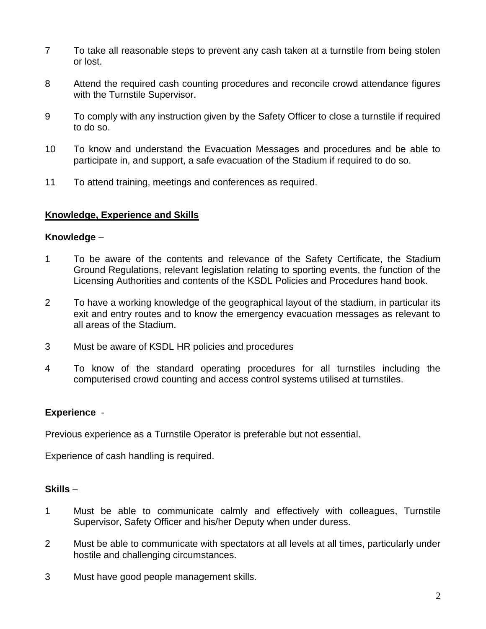- 7 To take all reasonable steps to prevent any cash taken at a turnstile from being stolen or lost.
- 8 Attend the required cash counting procedures and reconcile crowd attendance figures with the Turnstile Supervisor.
- 9 To comply with any instruction given by the Safety Officer to close a turnstile if required to do so.
- 10 To know and understand the Evacuation Messages and procedures and be able to participate in, and support, a safe evacuation of the Stadium if required to do so.
- 11 To attend training, meetings and conferences as required.

## **Knowledge, Experience and Skills**

#### **Knowledge** –

- 1 To be aware of the contents and relevance of the Safety Certificate, the Stadium Ground Regulations, relevant legislation relating to sporting events, the function of the Licensing Authorities and contents of the KSDL Policies and Procedures hand book.
- 2 To have a working knowledge of the geographical layout of the stadium, in particular its exit and entry routes and to know the emergency evacuation messages as relevant to all areas of the Stadium.
- 3 Must be aware of KSDL HR policies and procedures
- 4 To know of the standard operating procedures for all turnstiles including the computerised crowd counting and access control systems utilised at turnstiles.

## **Experience** -

Previous experience as a Turnstile Operator is preferable but not essential.

Experience of cash handling is required.

## **Skills** –

- 1 Must be able to communicate calmly and effectively with colleagues, Turnstile Supervisor, Safety Officer and his/her Deputy when under duress.
- 2 Must be able to communicate with spectators at all levels at all times, particularly under hostile and challenging circumstances.
- 3 Must have good people management skills.